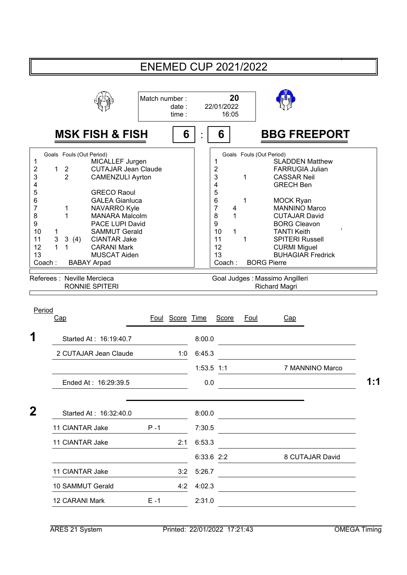|                                                                                                    |                                                                                                                                               |                                                                                                                                                                                                                                                                                                                                | <b>ENEMED CUP 2021/2022</b> |                 |                   |                                                                                                   |                            |                                  |                                                                                                                                                                                                                                                                                                                                                                                  |     |  |
|----------------------------------------------------------------------------------------------------|-----------------------------------------------------------------------------------------------------------------------------------------------|--------------------------------------------------------------------------------------------------------------------------------------------------------------------------------------------------------------------------------------------------------------------------------------------------------------------------------|-----------------------------|-----------------|-------------------|---------------------------------------------------------------------------------------------------|----------------------------|----------------------------------|----------------------------------------------------------------------------------------------------------------------------------------------------------------------------------------------------------------------------------------------------------------------------------------------------------------------------------------------------------------------------------|-----|--|
|                                                                                                    |                                                                                                                                               | Match number:                                                                                                                                                                                                                                                                                                                  |                             | date:<br>time:  |                   | 20<br>22/01/2022<br>16:05                                                                         |                            |                                  |                                                                                                                                                                                                                                                                                                                                                                                  |     |  |
|                                                                                                    |                                                                                                                                               | <b>MSK FISH &amp; FISH</b>                                                                                                                                                                                                                                                                                                     |                             | 6               |                   | 6                                                                                                 |                            |                                  | <b>BBG FREEPORT</b>                                                                                                                                                                                                                                                                                                                                                              |     |  |
| 1<br>2<br>3<br>4<br>5<br>6<br>$\overline{7}$<br>8<br>9<br>10<br>11<br>12<br>13<br>Coach:<br>Period | Goals Fouls (Out Period)<br>$\overline{2}$<br>1<br>$\overline{2}$<br>1<br>1<br>1<br>3<br>3(4)<br>1<br>1<br>Referees : Neville Mercieca<br>Cap | MICALLEF Jurgen<br><b>CUTAJAR Jean Claude</b><br><b>CAMENZULI Ayrton</b><br><b>GRECO Raoul</b><br><b>GALEA Gianluca</b><br>NAVARRO Kyle<br><b>MANARA Malcolm</b><br>PACE LUPI David<br><b>SAMMUT Gerald</b><br><b>CIANTAR Jake</b><br><b>CARANI Mark</b><br><b>MUSCAT Aiden</b><br><b>BABAY Arpad</b><br><b>RONNIE SPITERI</b> |                             | Foul Score Time |                   | 1<br>2<br>3<br>4<br>5<br>6<br>$\overline{7}$<br>8<br>9<br>10<br>11<br>12<br>13<br>Coach:<br>Score | 1<br>1<br>4<br>1<br>1<br>1 | Goals Fouls (Out Period)<br>Foul | <b>SLADDEN Matthew</b><br><b>FARRUGIA Julian</b><br><b>CASSAR Neil</b><br><b>GRECH Ben</b><br><b>MOCK Ryan</b><br><b>MANNINO Marco</b><br><b>CUTAJAR David</b><br><b>BORG Cleavon</b><br><b>TANTI Keith</b><br><b>SPITERI Russell</b><br><b>CURMI Miguel</b><br><b>BUHAGIAR Fredrick</b><br><b>BORG Pierre</b><br>Goal Judges : Massimo Angilleri<br><b>Richard Magri</b><br>Cap |     |  |
|                                                                                                    |                                                                                                                                               | Started At: 16:19:40.7                                                                                                                                                                                                                                                                                                         |                             |                 | 8:00.0            |                                                                                                   |                            |                                  |                                                                                                                                                                                                                                                                                                                                                                                  |     |  |
|                                                                                                    |                                                                                                                                               | 2 CUTAJAR Jean Claude                                                                                                                                                                                                                                                                                                          |                             | 1:0             | 6:45.3            |                                                                                                   |                            |                                  |                                                                                                                                                                                                                                                                                                                                                                                  |     |  |
|                                                                                                    |                                                                                                                                               | Ended At: 16:29:39.5                                                                                                                                                                                                                                                                                                           |                             |                 | 1:53.5 1:1<br>0.0 |                                                                                                   |                            |                                  | 7 MANNINO Marco                                                                                                                                                                                                                                                                                                                                                                  | 1:1 |  |
| $\mathbf 2$                                                                                        |                                                                                                                                               | Started At: 16:32:40.0                                                                                                                                                                                                                                                                                                         |                             |                 | 8:00.0            |                                                                                                   |                            |                                  | <u> 1989 - Johann Stein, mars an deus an deus Amerikaansk kommunister (</u>                                                                                                                                                                                                                                                                                                      |     |  |
|                                                                                                    | 11 CIANTAR Jake                                                                                                                               |                                                                                                                                                                                                                                                                                                                                | $P - 1$                     |                 | 7:30.5            |                                                                                                   |                            |                                  |                                                                                                                                                                                                                                                                                                                                                                                  |     |  |
|                                                                                                    | 11 CIANTAR Jake                                                                                                                               |                                                                                                                                                                                                                                                                                                                                |                             | 2:1             | 6:53.3            |                                                                                                   |                            |                                  |                                                                                                                                                                                                                                                                                                                                                                                  |     |  |
|                                                                                                    |                                                                                                                                               |                                                                                                                                                                                                                                                                                                                                |                             |                 | 6:33.6 2:2        |                                                                                                   |                            |                                  | 8 CUTAJAR David                                                                                                                                                                                                                                                                                                                                                                  |     |  |
|                                                                                                    | 11 CIANTAR Jake                                                                                                                               |                                                                                                                                                                                                                                                                                                                                |                             | 3:2             | 5:26.7            |                                                                                                   |                            |                                  |                                                                                                                                                                                                                                                                                                                                                                                  |     |  |
|                                                                                                    | 10 SAMMUT Gerald<br>12 CARANI Mark                                                                                                            |                                                                                                                                                                                                                                                                                                                                | $E - 1$                     | 4:2             | 4:02.3<br>2:31.0  |                                                                                                   |                            |                                  |                                                                                                                                                                                                                                                                                                                                                                                  |     |  |
|                                                                                                    |                                                                                                                                               |                                                                                                                                                                                                                                                                                                                                |                             |                 |                   |                                                                                                   |                            |                                  |                                                                                                                                                                                                                                                                                                                                                                                  |     |  |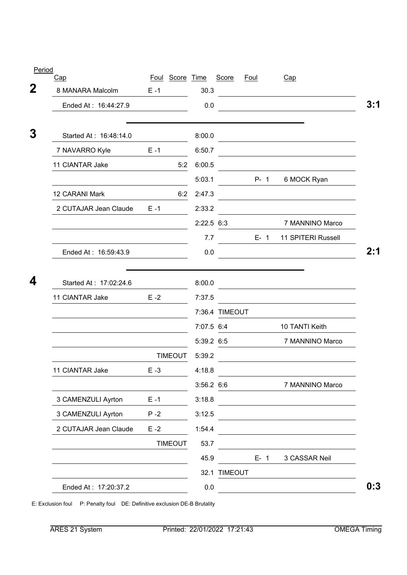| Cap                    |         | Foul Score Time |              | Score          | <u>Foul</u> | Cap                                                                                                                   |
|------------------------|---------|-----------------|--------------|----------------|-------------|-----------------------------------------------------------------------------------------------------------------------|
| 8 MANARA Malcolm       | $E - 1$ |                 | 30.3         |                |             | <u> 1980 - Johann Barbara, martxa alemaniar a</u>                                                                     |
| Ended At: 16:44:27.9   |         |                 | 0.0          |                |             |                                                                                                                       |
| Started At: 16:48:14.0 |         |                 | 8:00.0       |                |             | <u> 1989 - Johann Barbara, martxa amerikan personal (</u>                                                             |
| 7 NAVARRO Kyle         | $E - 1$ |                 | 6:50.7       |                |             |                                                                                                                       |
| 11 CIANTAR Jake        |         | 5:2             | 6:00.5       |                |             |                                                                                                                       |
|                        |         |                 | 5:03.1       |                | $P-1$       | 6 MOCK Ryan                                                                                                           |
| 12 CARANI Mark         |         | 6:2             | 2:47.3       |                |             | <u> 1980 - Johann Barn, amerikansk politiker (d. 1980)</u>                                                            |
| 2 CUTAJAR Jean Claude  |         | $E - 1$         | 2:33.2       |                |             | <u> 1980 - Johann Barn, mars ann an t-Amhain an t-Amhain an t-Amhain an t-Amhain an t-Amhain an t-Amhain an t-Amh</u> |
|                        |         |                 | $2:22.5$ 6:3 |                |             | 7 MANNINO Marco                                                                                                       |
|                        |         |                 | 7.7          |                |             | E- 1 11 SPITERI Russell                                                                                               |
| Ended At: 16:59:43.9   |         |                 | 0.0          |                |             | <u> 1990 - Johann Barbara, martin d</u>                                                                               |
|                        |         |                 |              |                |             |                                                                                                                       |
| Started At: 17:02:24.6 |         |                 | 8:00.0       |                |             | <u> 1980 - Johann Barn, amerikansk politiker (</u>                                                                    |
| 11 CIANTAR Jake        | $E - 2$ |                 | 7:37.5       |                |             |                                                                                                                       |
|                        |         |                 | 7:07.5 6:4   | 7:36.4 TIMEOUT |             | 10 TANTI Keith                                                                                                        |
|                        |         |                 | 5:39.2 6:5   |                |             | 7 MANNINO Marco                                                                                                       |
|                        |         | <b>TIMEOUT</b>  | 5:39.2       |                |             |                                                                                                                       |
| 11 CIANTAR Jake        | $E - 3$ |                 | 4:18.8       |                |             |                                                                                                                       |
|                        |         |                 | 3:56.2 6:6   |                |             | 7 MANNINO Marco                                                                                                       |
| 3 CAMENZULI Ayrton     | $E - 1$ |                 | 3:18.8       |                |             |                                                                                                                       |
| 3 CAMENZULI Ayrton     | $P - 2$ |                 | 3:12.5       |                |             |                                                                                                                       |
| 2 CUTAJAR Jean Claude  | $E - 2$ |                 | 1:54.4       |                |             |                                                                                                                       |
|                        |         | <b>TIMEOUT</b>  | 53.7         |                |             |                                                                                                                       |
|                        |         |                 | 45.9         |                | $E-1$       | 3 CASSAR Neil                                                                                                         |
|                        |         |                 |              | 32.1 TIMEOUT   |             |                                                                                                                       |

E: Exclusion foul P: Penalty foul DE: Definitive exclusion DE-B Brutality